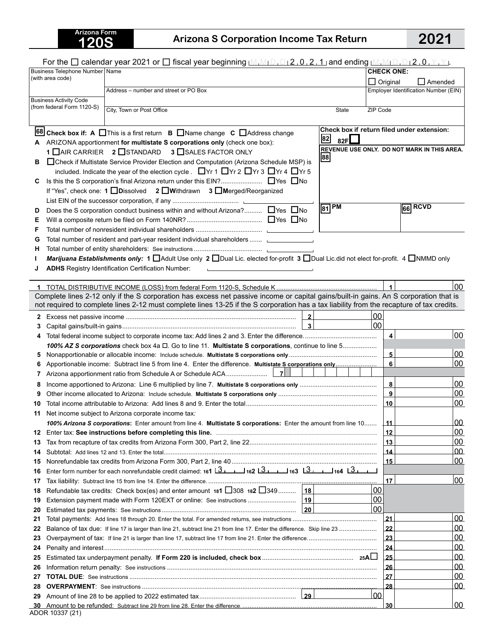## **120S Arizona S Corporation Income Tax Return 2021**

| <b>CHECK ONE:</b><br>(with area code)<br>$\Box$ Original<br>$\Box$ Amended<br>Employer Identification Number (EIN)<br>Address - number and street or PO Box<br><b>Business Activity Code</b><br>(from federal Form 1120-S)<br>City, Town or Post Office<br>ZIP Code<br><b>State</b><br>Check box if return filed under extension:<br>68 Check box if: A □ This is a first return B □ Name change C □ Address change<br>82<br>82F $\square$<br>A ARIZONA apportionment for multistate S corporations only (check one box):<br>REVENUE USE ONLY. DO NOT MARK IN THIS AREA.<br>1 IAIR CARRIER 2 ISTANDARD 3 ISALES FACTOR ONLY<br>88<br>□ Check if Multistate Service Provider Election and Computation (Arizona Schedule MSP) is<br>в<br>included. Indicate the year of the election cycle. ■Yr 1 ■Yr 2 ■Yr 3 ■Yr 4 ■Yr 5<br>С<br>If "Yes", check one: 1 □ Dissolved 2 □ Withdrawn 3 □ Merged/Reorganized<br>$ 81$ PM<br>66 RCVD<br>Does the S corporation conduct business within and without Arizona? □ Yes □ No<br>D<br>Е<br>F<br>Total number of resident and part-year resident individual shareholders  [1986] Total number of resident and part-year resident individual shareholders<br>G<br>н<br>Marijuana Establishments only: 1 □ Adult Use only 2 □ Dual Lic. elected for-profit 3 □ Dual Lic.did not elect for-profit. 4 □ NMMD only<br>ı<br><b>ADHS</b> Registry Identification Certification Number:<br>and the contract of the contract of the contract of the contract of the contract of<br>00<br>Complete lines 2-12 only if the S corporation has excess net passive income or capital gains/built-in gains. An S corporation that is<br>not required to complete lines 2-12 must complete lines 13-25 if the S corporation has a tax liability from the recapture of tax credits.<br>$\overline{\mathbf{2}}$<br> 00 <br>2<br>00<br>$\overline{\mathbf{3}}$<br>3<br>$\overline{4}$<br>00<br>4<br>100% AZ S corporations check box 4a $\Box$ . Go to line 11. Multistate S corporations, continue to line 5<br>00<br>$\overline{\mathbf{5}}$<br>5<br>6<br>00<br>$\bf{8}$<br>00<br>8<br>9<br>00<br>9<br>10<br>00<br>Net income subject to Arizona corporate income tax:<br>11<br>100% Arizona S corporations: Enter amount from line 4. Multistate S corporations: Enter the amount from line 10<br>00<br>$\perp$ 11<br>00<br>12<br>12<br>00<br>13<br>13<br>00<br>14<br>14<br>00<br>$\vert$ 15<br>15<br>Enter form number for each nonrefundable credit claimed: 161   3   162   3   163   3   164   3   164<br>16<br>00<br>17<br>17<br>Refundable tax credits: Check box(es) and enter amount 181 $\Box$ 308 182 $\Box$ 349 18<br>00<br>18<br>00<br>19<br>00<br>20<br>00<br><u> 21</u><br>21<br>00<br>  22<br>22<br><u>00</u><br>23<br>23<br><u>00</u><br>24<br>24<br><u>00</u><br>25<br>25<br><u>00</u><br>26<br>26<br><u>00</u><br>27<br>27<br>00<br>28<br>28<br>$ 00\rangle$<br>29<br>00<br>30<br><u>_30_</u> |                                  | For the $\square$ calendar year 2021 or $\square$ fiscal year beginning $\square_{1}\square_{1}\square_{1}\square_{2}$ , 0, 2, 1 and ending $\square_{1}\square_{1}\square_{1}\square_{1}\square_{1}\square_{1}$ , $\square_{1}\square_{1}\square_{1}$ |  |  |  |
|-----------------------------------------------------------------------------------------------------------------------------------------------------------------------------------------------------------------------------------------------------------------------------------------------------------------------------------------------------------------------------------------------------------------------------------------------------------------------------------------------------------------------------------------------------------------------------------------------------------------------------------------------------------------------------------------------------------------------------------------------------------------------------------------------------------------------------------------------------------------------------------------------------------------------------------------------------------------------------------------------------------------------------------------------------------------------------------------------------------------------------------------------------------------------------------------------------------------------------------------------------------------------------------------------------------------------------------------------------------------------------------------------------------------------------------------------------------------------------------------------------------------------------------------------------------------------------------------------------------------------------------------------------------------------------------------------------------------------------------------------------------------------------------------------------------------------------------------------------------------------------------------------------------------------------------------------------------------------------------------------------------------------------------------------------------------------------------------------------------------------------------------------------------------------------------------------------------------------------------------------------------------------------------------------------------------------------------------------------------------------------------------------------------------------------------------------------------------------------------------------------------------------------------------------------------------------------------------------------------------------------------------------------------------------------------------------------------------------------------------------------------------------------------------------------------------------------------------------------------------------------------------------------------------------------------|----------------------------------|--------------------------------------------------------------------------------------------------------------------------------------------------------------------------------------------------------------------------------------------------------|--|--|--|
|                                                                                                                                                                                                                                                                                                                                                                                                                                                                                                                                                                                                                                                                                                                                                                                                                                                                                                                                                                                                                                                                                                                                                                                                                                                                                                                                                                                                                                                                                                                                                                                                                                                                                                                                                                                                                                                                                                                                                                                                                                                                                                                                                                                                                                                                                                                                                                                                                                                                                                                                                                                                                                                                                                                                                                                                                                                                                                                                   | Business Telephone Number   Name |                                                                                                                                                                                                                                                        |  |  |  |
|                                                                                                                                                                                                                                                                                                                                                                                                                                                                                                                                                                                                                                                                                                                                                                                                                                                                                                                                                                                                                                                                                                                                                                                                                                                                                                                                                                                                                                                                                                                                                                                                                                                                                                                                                                                                                                                                                                                                                                                                                                                                                                                                                                                                                                                                                                                                                                                                                                                                                                                                                                                                                                                                                                                                                                                                                                                                                                                                   |                                  |                                                                                                                                                                                                                                                        |  |  |  |
|                                                                                                                                                                                                                                                                                                                                                                                                                                                                                                                                                                                                                                                                                                                                                                                                                                                                                                                                                                                                                                                                                                                                                                                                                                                                                                                                                                                                                                                                                                                                                                                                                                                                                                                                                                                                                                                                                                                                                                                                                                                                                                                                                                                                                                                                                                                                                                                                                                                                                                                                                                                                                                                                                                                                                                                                                                                                                                                                   |                                  |                                                                                                                                                                                                                                                        |  |  |  |
|                                                                                                                                                                                                                                                                                                                                                                                                                                                                                                                                                                                                                                                                                                                                                                                                                                                                                                                                                                                                                                                                                                                                                                                                                                                                                                                                                                                                                                                                                                                                                                                                                                                                                                                                                                                                                                                                                                                                                                                                                                                                                                                                                                                                                                                                                                                                                                                                                                                                                                                                                                                                                                                                                                                                                                                                                                                                                                                                   |                                  |                                                                                                                                                                                                                                                        |  |  |  |
|                                                                                                                                                                                                                                                                                                                                                                                                                                                                                                                                                                                                                                                                                                                                                                                                                                                                                                                                                                                                                                                                                                                                                                                                                                                                                                                                                                                                                                                                                                                                                                                                                                                                                                                                                                                                                                                                                                                                                                                                                                                                                                                                                                                                                                                                                                                                                                                                                                                                                                                                                                                                                                                                                                                                                                                                                                                                                                                                   |                                  |                                                                                                                                                                                                                                                        |  |  |  |
|                                                                                                                                                                                                                                                                                                                                                                                                                                                                                                                                                                                                                                                                                                                                                                                                                                                                                                                                                                                                                                                                                                                                                                                                                                                                                                                                                                                                                                                                                                                                                                                                                                                                                                                                                                                                                                                                                                                                                                                                                                                                                                                                                                                                                                                                                                                                                                                                                                                                                                                                                                                                                                                                                                                                                                                                                                                                                                                                   |                                  |                                                                                                                                                                                                                                                        |  |  |  |
|                                                                                                                                                                                                                                                                                                                                                                                                                                                                                                                                                                                                                                                                                                                                                                                                                                                                                                                                                                                                                                                                                                                                                                                                                                                                                                                                                                                                                                                                                                                                                                                                                                                                                                                                                                                                                                                                                                                                                                                                                                                                                                                                                                                                                                                                                                                                                                                                                                                                                                                                                                                                                                                                                                                                                                                                                                                                                                                                   |                                  |                                                                                                                                                                                                                                                        |  |  |  |
|                                                                                                                                                                                                                                                                                                                                                                                                                                                                                                                                                                                                                                                                                                                                                                                                                                                                                                                                                                                                                                                                                                                                                                                                                                                                                                                                                                                                                                                                                                                                                                                                                                                                                                                                                                                                                                                                                                                                                                                                                                                                                                                                                                                                                                                                                                                                                                                                                                                                                                                                                                                                                                                                                                                                                                                                                                                                                                                                   |                                  |                                                                                                                                                                                                                                                        |  |  |  |
|                                                                                                                                                                                                                                                                                                                                                                                                                                                                                                                                                                                                                                                                                                                                                                                                                                                                                                                                                                                                                                                                                                                                                                                                                                                                                                                                                                                                                                                                                                                                                                                                                                                                                                                                                                                                                                                                                                                                                                                                                                                                                                                                                                                                                                                                                                                                                                                                                                                                                                                                                                                                                                                                                                                                                                                                                                                                                                                                   |                                  |                                                                                                                                                                                                                                                        |  |  |  |
|                                                                                                                                                                                                                                                                                                                                                                                                                                                                                                                                                                                                                                                                                                                                                                                                                                                                                                                                                                                                                                                                                                                                                                                                                                                                                                                                                                                                                                                                                                                                                                                                                                                                                                                                                                                                                                                                                                                                                                                                                                                                                                                                                                                                                                                                                                                                                                                                                                                                                                                                                                                                                                                                                                                                                                                                                                                                                                                                   |                                  |                                                                                                                                                                                                                                                        |  |  |  |
|                                                                                                                                                                                                                                                                                                                                                                                                                                                                                                                                                                                                                                                                                                                                                                                                                                                                                                                                                                                                                                                                                                                                                                                                                                                                                                                                                                                                                                                                                                                                                                                                                                                                                                                                                                                                                                                                                                                                                                                                                                                                                                                                                                                                                                                                                                                                                                                                                                                                                                                                                                                                                                                                                                                                                                                                                                                                                                                                   |                                  |                                                                                                                                                                                                                                                        |  |  |  |
|                                                                                                                                                                                                                                                                                                                                                                                                                                                                                                                                                                                                                                                                                                                                                                                                                                                                                                                                                                                                                                                                                                                                                                                                                                                                                                                                                                                                                                                                                                                                                                                                                                                                                                                                                                                                                                                                                                                                                                                                                                                                                                                                                                                                                                                                                                                                                                                                                                                                                                                                                                                                                                                                                                                                                                                                                                                                                                                                   |                                  |                                                                                                                                                                                                                                                        |  |  |  |
|                                                                                                                                                                                                                                                                                                                                                                                                                                                                                                                                                                                                                                                                                                                                                                                                                                                                                                                                                                                                                                                                                                                                                                                                                                                                                                                                                                                                                                                                                                                                                                                                                                                                                                                                                                                                                                                                                                                                                                                                                                                                                                                                                                                                                                                                                                                                                                                                                                                                                                                                                                                                                                                                                                                                                                                                                                                                                                                                   |                                  |                                                                                                                                                                                                                                                        |  |  |  |
|                                                                                                                                                                                                                                                                                                                                                                                                                                                                                                                                                                                                                                                                                                                                                                                                                                                                                                                                                                                                                                                                                                                                                                                                                                                                                                                                                                                                                                                                                                                                                                                                                                                                                                                                                                                                                                                                                                                                                                                                                                                                                                                                                                                                                                                                                                                                                                                                                                                                                                                                                                                                                                                                                                                                                                                                                                                                                                                                   |                                  |                                                                                                                                                                                                                                                        |  |  |  |
|                                                                                                                                                                                                                                                                                                                                                                                                                                                                                                                                                                                                                                                                                                                                                                                                                                                                                                                                                                                                                                                                                                                                                                                                                                                                                                                                                                                                                                                                                                                                                                                                                                                                                                                                                                                                                                                                                                                                                                                                                                                                                                                                                                                                                                                                                                                                                                                                                                                                                                                                                                                                                                                                                                                                                                                                                                                                                                                                   |                                  |                                                                                                                                                                                                                                                        |  |  |  |
|                                                                                                                                                                                                                                                                                                                                                                                                                                                                                                                                                                                                                                                                                                                                                                                                                                                                                                                                                                                                                                                                                                                                                                                                                                                                                                                                                                                                                                                                                                                                                                                                                                                                                                                                                                                                                                                                                                                                                                                                                                                                                                                                                                                                                                                                                                                                                                                                                                                                                                                                                                                                                                                                                                                                                                                                                                                                                                                                   |                                  |                                                                                                                                                                                                                                                        |  |  |  |
|                                                                                                                                                                                                                                                                                                                                                                                                                                                                                                                                                                                                                                                                                                                                                                                                                                                                                                                                                                                                                                                                                                                                                                                                                                                                                                                                                                                                                                                                                                                                                                                                                                                                                                                                                                                                                                                                                                                                                                                                                                                                                                                                                                                                                                                                                                                                                                                                                                                                                                                                                                                                                                                                                                                                                                                                                                                                                                                                   |                                  |                                                                                                                                                                                                                                                        |  |  |  |
|                                                                                                                                                                                                                                                                                                                                                                                                                                                                                                                                                                                                                                                                                                                                                                                                                                                                                                                                                                                                                                                                                                                                                                                                                                                                                                                                                                                                                                                                                                                                                                                                                                                                                                                                                                                                                                                                                                                                                                                                                                                                                                                                                                                                                                                                                                                                                                                                                                                                                                                                                                                                                                                                                                                                                                                                                                                                                                                                   |                                  |                                                                                                                                                                                                                                                        |  |  |  |
|                                                                                                                                                                                                                                                                                                                                                                                                                                                                                                                                                                                                                                                                                                                                                                                                                                                                                                                                                                                                                                                                                                                                                                                                                                                                                                                                                                                                                                                                                                                                                                                                                                                                                                                                                                                                                                                                                                                                                                                                                                                                                                                                                                                                                                                                                                                                                                                                                                                                                                                                                                                                                                                                                                                                                                                                                                                                                                                                   |                                  |                                                                                                                                                                                                                                                        |  |  |  |
|                                                                                                                                                                                                                                                                                                                                                                                                                                                                                                                                                                                                                                                                                                                                                                                                                                                                                                                                                                                                                                                                                                                                                                                                                                                                                                                                                                                                                                                                                                                                                                                                                                                                                                                                                                                                                                                                                                                                                                                                                                                                                                                                                                                                                                                                                                                                                                                                                                                                                                                                                                                                                                                                                                                                                                                                                                                                                                                                   |                                  |                                                                                                                                                                                                                                                        |  |  |  |
|                                                                                                                                                                                                                                                                                                                                                                                                                                                                                                                                                                                                                                                                                                                                                                                                                                                                                                                                                                                                                                                                                                                                                                                                                                                                                                                                                                                                                                                                                                                                                                                                                                                                                                                                                                                                                                                                                                                                                                                                                                                                                                                                                                                                                                                                                                                                                                                                                                                                                                                                                                                                                                                                                                                                                                                                                                                                                                                                   |                                  |                                                                                                                                                                                                                                                        |  |  |  |
|                                                                                                                                                                                                                                                                                                                                                                                                                                                                                                                                                                                                                                                                                                                                                                                                                                                                                                                                                                                                                                                                                                                                                                                                                                                                                                                                                                                                                                                                                                                                                                                                                                                                                                                                                                                                                                                                                                                                                                                                                                                                                                                                                                                                                                                                                                                                                                                                                                                                                                                                                                                                                                                                                                                                                                                                                                                                                                                                   |                                  |                                                                                                                                                                                                                                                        |  |  |  |
|                                                                                                                                                                                                                                                                                                                                                                                                                                                                                                                                                                                                                                                                                                                                                                                                                                                                                                                                                                                                                                                                                                                                                                                                                                                                                                                                                                                                                                                                                                                                                                                                                                                                                                                                                                                                                                                                                                                                                                                                                                                                                                                                                                                                                                                                                                                                                                                                                                                                                                                                                                                                                                                                                                                                                                                                                                                                                                                                   |                                  |                                                                                                                                                                                                                                                        |  |  |  |
|                                                                                                                                                                                                                                                                                                                                                                                                                                                                                                                                                                                                                                                                                                                                                                                                                                                                                                                                                                                                                                                                                                                                                                                                                                                                                                                                                                                                                                                                                                                                                                                                                                                                                                                                                                                                                                                                                                                                                                                                                                                                                                                                                                                                                                                                                                                                                                                                                                                                                                                                                                                                                                                                                                                                                                                                                                                                                                                                   |                                  |                                                                                                                                                                                                                                                        |  |  |  |
|                                                                                                                                                                                                                                                                                                                                                                                                                                                                                                                                                                                                                                                                                                                                                                                                                                                                                                                                                                                                                                                                                                                                                                                                                                                                                                                                                                                                                                                                                                                                                                                                                                                                                                                                                                                                                                                                                                                                                                                                                                                                                                                                                                                                                                                                                                                                                                                                                                                                                                                                                                                                                                                                                                                                                                                                                                                                                                                                   |                                  |                                                                                                                                                                                                                                                        |  |  |  |
|                                                                                                                                                                                                                                                                                                                                                                                                                                                                                                                                                                                                                                                                                                                                                                                                                                                                                                                                                                                                                                                                                                                                                                                                                                                                                                                                                                                                                                                                                                                                                                                                                                                                                                                                                                                                                                                                                                                                                                                                                                                                                                                                                                                                                                                                                                                                                                                                                                                                                                                                                                                                                                                                                                                                                                                                                                                                                                                                   |                                  |                                                                                                                                                                                                                                                        |  |  |  |
|                                                                                                                                                                                                                                                                                                                                                                                                                                                                                                                                                                                                                                                                                                                                                                                                                                                                                                                                                                                                                                                                                                                                                                                                                                                                                                                                                                                                                                                                                                                                                                                                                                                                                                                                                                                                                                                                                                                                                                                                                                                                                                                                                                                                                                                                                                                                                                                                                                                                                                                                                                                                                                                                                                                                                                                                                                                                                                                                   |                                  |                                                                                                                                                                                                                                                        |  |  |  |
|                                                                                                                                                                                                                                                                                                                                                                                                                                                                                                                                                                                                                                                                                                                                                                                                                                                                                                                                                                                                                                                                                                                                                                                                                                                                                                                                                                                                                                                                                                                                                                                                                                                                                                                                                                                                                                                                                                                                                                                                                                                                                                                                                                                                                                                                                                                                                                                                                                                                                                                                                                                                                                                                                                                                                                                                                                                                                                                                   |                                  |                                                                                                                                                                                                                                                        |  |  |  |
|                                                                                                                                                                                                                                                                                                                                                                                                                                                                                                                                                                                                                                                                                                                                                                                                                                                                                                                                                                                                                                                                                                                                                                                                                                                                                                                                                                                                                                                                                                                                                                                                                                                                                                                                                                                                                                                                                                                                                                                                                                                                                                                                                                                                                                                                                                                                                                                                                                                                                                                                                                                                                                                                                                                                                                                                                                                                                                                                   |                                  |                                                                                                                                                                                                                                                        |  |  |  |
|                                                                                                                                                                                                                                                                                                                                                                                                                                                                                                                                                                                                                                                                                                                                                                                                                                                                                                                                                                                                                                                                                                                                                                                                                                                                                                                                                                                                                                                                                                                                                                                                                                                                                                                                                                                                                                                                                                                                                                                                                                                                                                                                                                                                                                                                                                                                                                                                                                                                                                                                                                                                                                                                                                                                                                                                                                                                                                                                   |                                  |                                                                                                                                                                                                                                                        |  |  |  |
|                                                                                                                                                                                                                                                                                                                                                                                                                                                                                                                                                                                                                                                                                                                                                                                                                                                                                                                                                                                                                                                                                                                                                                                                                                                                                                                                                                                                                                                                                                                                                                                                                                                                                                                                                                                                                                                                                                                                                                                                                                                                                                                                                                                                                                                                                                                                                                                                                                                                                                                                                                                                                                                                                                                                                                                                                                                                                                                                   |                                  |                                                                                                                                                                                                                                                        |  |  |  |
|                                                                                                                                                                                                                                                                                                                                                                                                                                                                                                                                                                                                                                                                                                                                                                                                                                                                                                                                                                                                                                                                                                                                                                                                                                                                                                                                                                                                                                                                                                                                                                                                                                                                                                                                                                                                                                                                                                                                                                                                                                                                                                                                                                                                                                                                                                                                                                                                                                                                                                                                                                                                                                                                                                                                                                                                                                                                                                                                   |                                  |                                                                                                                                                                                                                                                        |  |  |  |
|                                                                                                                                                                                                                                                                                                                                                                                                                                                                                                                                                                                                                                                                                                                                                                                                                                                                                                                                                                                                                                                                                                                                                                                                                                                                                                                                                                                                                                                                                                                                                                                                                                                                                                                                                                                                                                                                                                                                                                                                                                                                                                                                                                                                                                                                                                                                                                                                                                                                                                                                                                                                                                                                                                                                                                                                                                                                                                                                   |                                  |                                                                                                                                                                                                                                                        |  |  |  |
|                                                                                                                                                                                                                                                                                                                                                                                                                                                                                                                                                                                                                                                                                                                                                                                                                                                                                                                                                                                                                                                                                                                                                                                                                                                                                                                                                                                                                                                                                                                                                                                                                                                                                                                                                                                                                                                                                                                                                                                                                                                                                                                                                                                                                                                                                                                                                                                                                                                                                                                                                                                                                                                                                                                                                                                                                                                                                                                                   |                                  |                                                                                                                                                                                                                                                        |  |  |  |
|                                                                                                                                                                                                                                                                                                                                                                                                                                                                                                                                                                                                                                                                                                                                                                                                                                                                                                                                                                                                                                                                                                                                                                                                                                                                                                                                                                                                                                                                                                                                                                                                                                                                                                                                                                                                                                                                                                                                                                                                                                                                                                                                                                                                                                                                                                                                                                                                                                                                                                                                                                                                                                                                                                                                                                                                                                                                                                                                   |                                  |                                                                                                                                                                                                                                                        |  |  |  |
|                                                                                                                                                                                                                                                                                                                                                                                                                                                                                                                                                                                                                                                                                                                                                                                                                                                                                                                                                                                                                                                                                                                                                                                                                                                                                                                                                                                                                                                                                                                                                                                                                                                                                                                                                                                                                                                                                                                                                                                                                                                                                                                                                                                                                                                                                                                                                                                                                                                                                                                                                                                                                                                                                                                                                                                                                                                                                                                                   |                                  |                                                                                                                                                                                                                                                        |  |  |  |
|                                                                                                                                                                                                                                                                                                                                                                                                                                                                                                                                                                                                                                                                                                                                                                                                                                                                                                                                                                                                                                                                                                                                                                                                                                                                                                                                                                                                                                                                                                                                                                                                                                                                                                                                                                                                                                                                                                                                                                                                                                                                                                                                                                                                                                                                                                                                                                                                                                                                                                                                                                                                                                                                                                                                                                                                                                                                                                                                   |                                  |                                                                                                                                                                                                                                                        |  |  |  |
|                                                                                                                                                                                                                                                                                                                                                                                                                                                                                                                                                                                                                                                                                                                                                                                                                                                                                                                                                                                                                                                                                                                                                                                                                                                                                                                                                                                                                                                                                                                                                                                                                                                                                                                                                                                                                                                                                                                                                                                                                                                                                                                                                                                                                                                                                                                                                                                                                                                                                                                                                                                                                                                                                                                                                                                                                                                                                                                                   |                                  |                                                                                                                                                                                                                                                        |  |  |  |
|                                                                                                                                                                                                                                                                                                                                                                                                                                                                                                                                                                                                                                                                                                                                                                                                                                                                                                                                                                                                                                                                                                                                                                                                                                                                                                                                                                                                                                                                                                                                                                                                                                                                                                                                                                                                                                                                                                                                                                                                                                                                                                                                                                                                                                                                                                                                                                                                                                                                                                                                                                                                                                                                                                                                                                                                                                                                                                                                   |                                  |                                                                                                                                                                                                                                                        |  |  |  |
|                                                                                                                                                                                                                                                                                                                                                                                                                                                                                                                                                                                                                                                                                                                                                                                                                                                                                                                                                                                                                                                                                                                                                                                                                                                                                                                                                                                                                                                                                                                                                                                                                                                                                                                                                                                                                                                                                                                                                                                                                                                                                                                                                                                                                                                                                                                                                                                                                                                                                                                                                                                                                                                                                                                                                                                                                                                                                                                                   |                                  |                                                                                                                                                                                                                                                        |  |  |  |
|                                                                                                                                                                                                                                                                                                                                                                                                                                                                                                                                                                                                                                                                                                                                                                                                                                                                                                                                                                                                                                                                                                                                                                                                                                                                                                                                                                                                                                                                                                                                                                                                                                                                                                                                                                                                                                                                                                                                                                                                                                                                                                                                                                                                                                                                                                                                                                                                                                                                                                                                                                                                                                                                                                                                                                                                                                                                                                                                   |                                  |                                                                                                                                                                                                                                                        |  |  |  |
|                                                                                                                                                                                                                                                                                                                                                                                                                                                                                                                                                                                                                                                                                                                                                                                                                                                                                                                                                                                                                                                                                                                                                                                                                                                                                                                                                                                                                                                                                                                                                                                                                                                                                                                                                                                                                                                                                                                                                                                                                                                                                                                                                                                                                                                                                                                                                                                                                                                                                                                                                                                                                                                                                                                                                                                                                                                                                                                                   |                                  |                                                                                                                                                                                                                                                        |  |  |  |
|                                                                                                                                                                                                                                                                                                                                                                                                                                                                                                                                                                                                                                                                                                                                                                                                                                                                                                                                                                                                                                                                                                                                                                                                                                                                                                                                                                                                                                                                                                                                                                                                                                                                                                                                                                                                                                                                                                                                                                                                                                                                                                                                                                                                                                                                                                                                                                                                                                                                                                                                                                                                                                                                                                                                                                                                                                                                                                                                   |                                  |                                                                                                                                                                                                                                                        |  |  |  |
|                                                                                                                                                                                                                                                                                                                                                                                                                                                                                                                                                                                                                                                                                                                                                                                                                                                                                                                                                                                                                                                                                                                                                                                                                                                                                                                                                                                                                                                                                                                                                                                                                                                                                                                                                                                                                                                                                                                                                                                                                                                                                                                                                                                                                                                                                                                                                                                                                                                                                                                                                                                                                                                                                                                                                                                                                                                                                                                                   |                                  |                                                                                                                                                                                                                                                        |  |  |  |
|                                                                                                                                                                                                                                                                                                                                                                                                                                                                                                                                                                                                                                                                                                                                                                                                                                                                                                                                                                                                                                                                                                                                                                                                                                                                                                                                                                                                                                                                                                                                                                                                                                                                                                                                                                                                                                                                                                                                                                                                                                                                                                                                                                                                                                                                                                                                                                                                                                                                                                                                                                                                                                                                                                                                                                                                                                                                                                                                   |                                  |                                                                                                                                                                                                                                                        |  |  |  |
|                                                                                                                                                                                                                                                                                                                                                                                                                                                                                                                                                                                                                                                                                                                                                                                                                                                                                                                                                                                                                                                                                                                                                                                                                                                                                                                                                                                                                                                                                                                                                                                                                                                                                                                                                                                                                                                                                                                                                                                                                                                                                                                                                                                                                                                                                                                                                                                                                                                                                                                                                                                                                                                                                                                                                                                                                                                                                                                                   |                                  |                                                                                                                                                                                                                                                        |  |  |  |
|                                                                                                                                                                                                                                                                                                                                                                                                                                                                                                                                                                                                                                                                                                                                                                                                                                                                                                                                                                                                                                                                                                                                                                                                                                                                                                                                                                                                                                                                                                                                                                                                                                                                                                                                                                                                                                                                                                                                                                                                                                                                                                                                                                                                                                                                                                                                                                                                                                                                                                                                                                                                                                                                                                                                                                                                                                                                                                                                   |                                  |                                                                                                                                                                                                                                                        |  |  |  |
|                                                                                                                                                                                                                                                                                                                                                                                                                                                                                                                                                                                                                                                                                                                                                                                                                                                                                                                                                                                                                                                                                                                                                                                                                                                                                                                                                                                                                                                                                                                                                                                                                                                                                                                                                                                                                                                                                                                                                                                                                                                                                                                                                                                                                                                                                                                                                                                                                                                                                                                                                                                                                                                                                                                                                                                                                                                                                                                                   |                                  |                                                                                                                                                                                                                                                        |  |  |  |
|                                                                                                                                                                                                                                                                                                                                                                                                                                                                                                                                                                                                                                                                                                                                                                                                                                                                                                                                                                                                                                                                                                                                                                                                                                                                                                                                                                                                                                                                                                                                                                                                                                                                                                                                                                                                                                                                                                                                                                                                                                                                                                                                                                                                                                                                                                                                                                                                                                                                                                                                                                                                                                                                                                                                                                                                                                                                                                                                   |                                  |                                                                                                                                                                                                                                                        |  |  |  |
|                                                                                                                                                                                                                                                                                                                                                                                                                                                                                                                                                                                                                                                                                                                                                                                                                                                                                                                                                                                                                                                                                                                                                                                                                                                                                                                                                                                                                                                                                                                                                                                                                                                                                                                                                                                                                                                                                                                                                                                                                                                                                                                                                                                                                                                                                                                                                                                                                                                                                                                                                                                                                                                                                                                                                                                                                                                                                                                                   |                                  |                                                                                                                                                                                                                                                        |  |  |  |
|                                                                                                                                                                                                                                                                                                                                                                                                                                                                                                                                                                                                                                                                                                                                                                                                                                                                                                                                                                                                                                                                                                                                                                                                                                                                                                                                                                                                                                                                                                                                                                                                                                                                                                                                                                                                                                                                                                                                                                                                                                                                                                                                                                                                                                                                                                                                                                                                                                                                                                                                                                                                                                                                                                                                                                                                                                                                                                                                   |                                  |                                                                                                                                                                                                                                                        |  |  |  |
|                                                                                                                                                                                                                                                                                                                                                                                                                                                                                                                                                                                                                                                                                                                                                                                                                                                                                                                                                                                                                                                                                                                                                                                                                                                                                                                                                                                                                                                                                                                                                                                                                                                                                                                                                                                                                                                                                                                                                                                                                                                                                                                                                                                                                                                                                                                                                                                                                                                                                                                                                                                                                                                                                                                                                                                                                                                                                                                                   |                                  |                                                                                                                                                                                                                                                        |  |  |  |
|                                                                                                                                                                                                                                                                                                                                                                                                                                                                                                                                                                                                                                                                                                                                                                                                                                                                                                                                                                                                                                                                                                                                                                                                                                                                                                                                                                                                                                                                                                                                                                                                                                                                                                                                                                                                                                                                                                                                                                                                                                                                                                                                                                                                                                                                                                                                                                                                                                                                                                                                                                                                                                                                                                                                                                                                                                                                                                                                   |                                  |                                                                                                                                                                                                                                                        |  |  |  |
|                                                                                                                                                                                                                                                                                                                                                                                                                                                                                                                                                                                                                                                                                                                                                                                                                                                                                                                                                                                                                                                                                                                                                                                                                                                                                                                                                                                                                                                                                                                                                                                                                                                                                                                                                                                                                                                                                                                                                                                                                                                                                                                                                                                                                                                                                                                                                                                                                                                                                                                                                                                                                                                                                                                                                                                                                                                                                                                                   |                                  |                                                                                                                                                                                                                                                        |  |  |  |
| ADOR 10337 (21)                                                                                                                                                                                                                                                                                                                                                                                                                                                                                                                                                                                                                                                                                                                                                                                                                                                                                                                                                                                                                                                                                                                                                                                                                                                                                                                                                                                                                                                                                                                                                                                                                                                                                                                                                                                                                                                                                                                                                                                                                                                                                                                                                                                                                                                                                                                                                                                                                                                                                                                                                                                                                                                                                                                                                                                                                                                                                                                   |                                  |                                                                                                                                                                                                                                                        |  |  |  |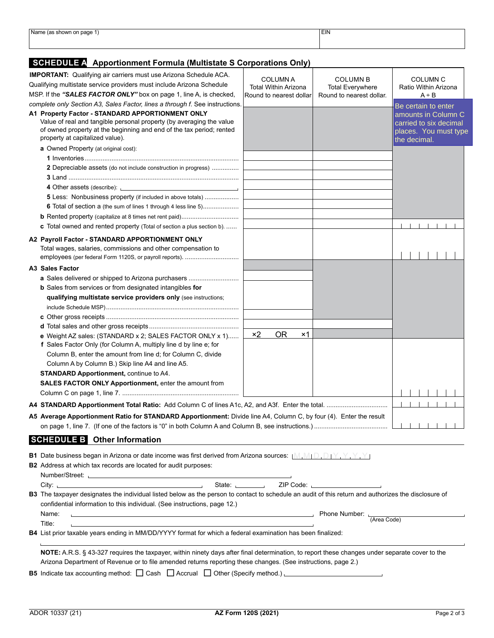| Name<br>n page <sub>ו</sub><br>$\sim$<br>SIIUWII UII | <b>EIN</b> |  |
|------------------------------------------------------|------------|--|
|                                                      |            |  |
|                                                      |            |  |
|                                                      |            |  |
|                                                      |            |  |

## **SCHEDULE A Apportionment Formula (Multistate S Corporations Only)**

| <b>IMPORTANT:</b> Qualifying air carriers must use Arizona Schedule ACA.                                                                                                                                                                                        |                                                                                                             |                                            |                                                                                        |  |  |
|-----------------------------------------------------------------------------------------------------------------------------------------------------------------------------------------------------------------------------------------------------------------|-------------------------------------------------------------------------------------------------------------|--------------------------------------------|----------------------------------------------------------------------------------------|--|--|
| Qualifying multistate service providers must include Arizona Schedule                                                                                                                                                                                           | <b>COLUMN A</b><br><b>Total Within Arizona</b>                                                              | <b>COLUMN B</b><br><b>Total Everywhere</b> | COLUMN <sub>C</sub><br>Ratio Within Arizona                                            |  |  |
| MSP. If the "SALES FACTOR ONLY" box on page 1, line A, is checked,                                                                                                                                                                                              | Round to nearest dollar                                                                                     | Round to nearest dollar.                   | $A \div B$                                                                             |  |  |
| complete only Section A3, Sales Factor, lines a through f. See instructions.                                                                                                                                                                                    |                                                                                                             |                                            | Be certain to enter                                                                    |  |  |
| A1 Property Factor - STANDARD APPORTIONMENT ONLY<br>Value of real and tangible personal property (by averaging the value<br>of owned property at the beginning and end of the tax period; rented<br>property at capitalized value).                             |                                                                                                             |                                            | amounts in Column C<br>carried to six decimal<br>places. You must type<br>the decimal. |  |  |
| a Owned Property (at original cost):                                                                                                                                                                                                                            |                                                                                                             |                                            |                                                                                        |  |  |
|                                                                                                                                                                                                                                                                 |                                                                                                             |                                            |                                                                                        |  |  |
| 2 Depreciable assets (do not include construction in progress)                                                                                                                                                                                                  |                                                                                                             |                                            |                                                                                        |  |  |
|                                                                                                                                                                                                                                                                 |                                                                                                             |                                            |                                                                                        |  |  |
| 4 Other assets (describe): <u>contract and a set of the set of the set of the set of the set of the set of the set of the set of the set of the set of the set of the set of the set of the set of the set of the set of the set</u>                            |                                                                                                             |                                            |                                                                                        |  |  |
| <b>5</b> Less: Nonbusiness property (if included in above totals)                                                                                                                                                                                               |                                                                                                             |                                            |                                                                                        |  |  |
| <b>6</b> Total of section a (the sum of lines 1 through 4 less line 5)                                                                                                                                                                                          |                                                                                                             |                                            |                                                                                        |  |  |
|                                                                                                                                                                                                                                                                 |                                                                                                             |                                            |                                                                                        |  |  |
| <b>c</b> Total owned and rented property (Total of section a plus section b).                                                                                                                                                                                   |                                                                                                             |                                            |                                                                                        |  |  |
| A2 Payroll Factor - STANDARD APPORTIONMENT ONLY<br>Total wages, salaries, commissions and other compensation to<br>employees (per federal Form 1120S, or payroll reports).                                                                                      |                                                                                                             |                                            |                                                                                        |  |  |
| A3 Sales Factor                                                                                                                                                                                                                                                 |                                                                                                             |                                            |                                                                                        |  |  |
| a Sales delivered or shipped to Arizona purchasers                                                                                                                                                                                                              |                                                                                                             |                                            |                                                                                        |  |  |
| <b>b</b> Sales from services or from designated intangibles for                                                                                                                                                                                                 |                                                                                                             |                                            |                                                                                        |  |  |
| qualifying multistate service providers only (see instructions;                                                                                                                                                                                                 |                                                                                                             |                                            |                                                                                        |  |  |
|                                                                                                                                                                                                                                                                 |                                                                                                             |                                            |                                                                                        |  |  |
|                                                                                                                                                                                                                                                                 |                                                                                                             |                                            |                                                                                        |  |  |
| e Weight AZ sales: (STANDARD x 2; SALES FACTOR ONLY x 1)                                                                                                                                                                                                        | $\times 2$<br><b>OR</b><br>×1                                                                               |                                            |                                                                                        |  |  |
| f Sales Factor Only (for Column A, multiply line d by line e; for                                                                                                                                                                                               |                                                                                                             |                                            |                                                                                        |  |  |
| Column B, enter the amount from line d; for Column C, divide                                                                                                                                                                                                    |                                                                                                             |                                            |                                                                                        |  |  |
| Column A by Column B.) Skip line A4 and line A5.                                                                                                                                                                                                                |                                                                                                             |                                            |                                                                                        |  |  |
| <b>STANDARD Apportionment, continue to A4.</b>                                                                                                                                                                                                                  |                                                                                                             |                                            |                                                                                        |  |  |
| SALES FACTOR ONLY Apportionment, enter the amount from                                                                                                                                                                                                          |                                                                                                             |                                            |                                                                                        |  |  |
|                                                                                                                                                                                                                                                                 |                                                                                                             |                                            |                                                                                        |  |  |
| A5 Average Apportionment Ratio for STANDARD Apportionment: Divide line A4, Column C, by four (4). Enter the result                                                                                                                                              |                                                                                                             |                                            |                                                                                        |  |  |
| <b>SCHEDULE B</b> Other Information                                                                                                                                                                                                                             |                                                                                                             |                                            |                                                                                        |  |  |
|                                                                                                                                                                                                                                                                 |                                                                                                             |                                            |                                                                                        |  |  |
| <b>B1</b> Date business began in Arizona or date income was first derived from Arizona sources: $[M, M] \cup D, D \cap Y, Y, Y, Y$                                                                                                                              |                                                                                                             |                                            |                                                                                        |  |  |
| <b>B2</b> Address at which tax records are located for audit purposes:                                                                                                                                                                                          |                                                                                                             |                                            |                                                                                        |  |  |
|                                                                                                                                                                                                                                                                 |                                                                                                             |                                            |                                                                                        |  |  |
| B3 The taxpayer designates the individual listed below as the person to contact to schedule an audit of this return and authorizes the disclosure of<br>confidential information to this individual. (See instructions, page 12.)                               |                                                                                                             |                                            |                                                                                        |  |  |
| Name:                                                                                                                                                                                                                                                           |                                                                                                             | Fhone Number: L<br>(Area Code)             |                                                                                        |  |  |
| Title:                                                                                                                                                                                                                                                          |                                                                                                             |                                            |                                                                                        |  |  |
|                                                                                                                                                                                                                                                                 | B4 List prior taxable years ending in MM/DD/YYYY format for which a federal examination has been finalized: |                                            |                                                                                        |  |  |
| NOTE: A.R.S. § 43-327 requires the taxpayer, within ninety days after final determination, to report these changes under separate cover to the<br>Arizona Department of Revenue or to file amended returns reporting these changes. (See instructions, page 2.) |                                                                                                             |                                            |                                                                                        |  |  |
| B5 Indicate tax accounting method: $\Box$ Cash $\Box$ Accrual $\Box$ Other (Specify method.) $\Box$                                                                                                                                                             |                                                                                                             |                                            |                                                                                        |  |  |